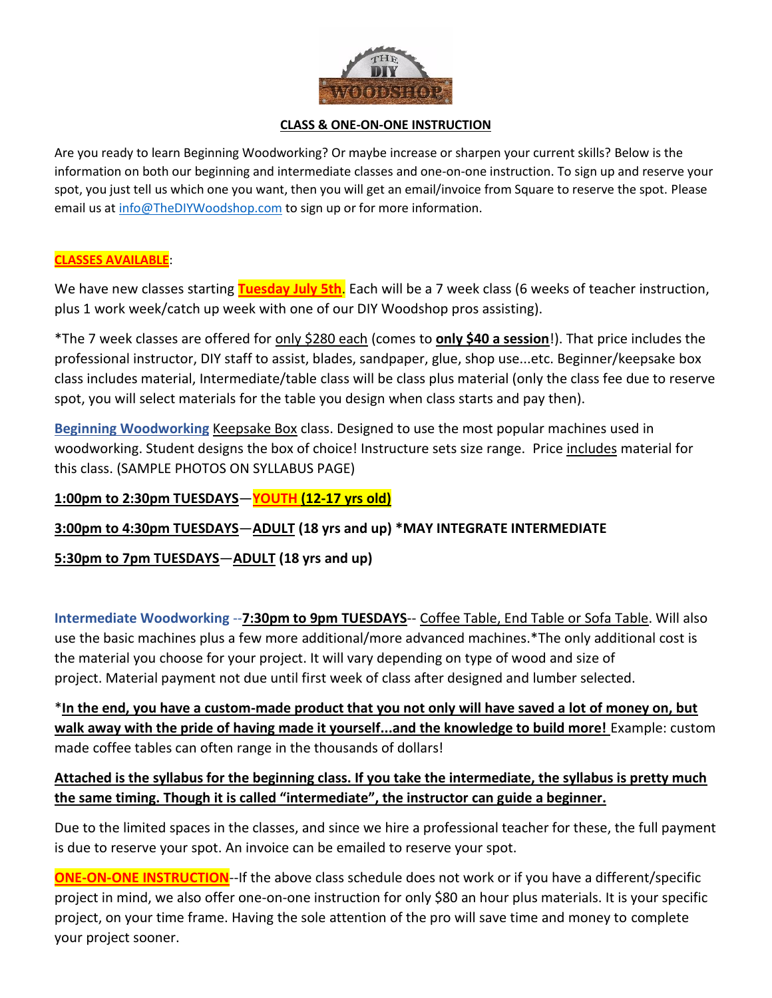

#### **CLASS & ONE-ON-ONE INSTRUCTION**

Are you ready to learn Beginning Woodworking? Or maybe increase or sharpen your current skills? Below is the information on both our beginning and intermediate classes and one-on-one instruction. To sign up and reserve your spot, you just tell us which one you want, then you will get an email/invoice from Square to reserve the spot. Please email us at [info@TheDIYWoodshop.com](mailto:info@TheDIYWoodshop.com) to sign up or for more information.

### **CLASSES AVAILABLE**:

We have new classes starting **Tuesday July 5th**. Each will be a 7 week class (6 weeks of teacher instruction, plus 1 work week/catch up week with one of our DIY Woodshop pros assisting).

\*The 7 week classes are offered for only \$280 each (comes to **only \$40 a session**!). That price includes the professional instructor, DIY staff to assist, blades, sandpaper, glue, shop use...etc. Beginner/keepsake box class includes material, Intermediate/table class will be class plus material (only the class fee due to reserve spot, you will select materials for the table you design when class starts and pay then).

**Beginning Woodworking** Keepsake Box class. Designed to use the most popular machines used in woodworking. Student designs the box of choice! Instructure sets size range. Price includes material for this class. (SAMPLE PHOTOS ON SYLLABUS PAGE)

# **1:00pm to 2:30pm TUESDAYS**—**YOUTH (12-17 yrs old)**

**3:00pm to 4:30pm TUESDAYS**—**ADULT (18 yrs and up) \*MAY INTEGRATE INTERMEDIATE**

## **5:30pm to 7pm TUESDAYS**—**ADULT (18 yrs and up)**

**Intermediate Woodworking** --**7:30pm to 9pm TUESDAYS**-- Coffee Table, End Table or Sofa Table. Will also use the basic machines plus a few more additional/more advanced machines.\*The only additional cost is the material you choose for your project. It will vary depending on type of wood and size of project. Material payment not due until first week of class after designed and lumber selected.

\***In the end, you have a custom-made product that you not only will have saved a lot of money on, but walk away with the pride of having made it yourself...and the knowledge to build more!** Example: custom made coffee tables can often range in the thousands of dollars!

# **Attached is the syllabus for the beginning class. If you take the intermediate, the syllabus is pretty much the same timing. Though it is called "intermediate", the instructor can guide a beginner.**

Due to the limited spaces in the classes, and since we hire a professional teacher for these, the full payment is due to reserve your spot. An invoice can be emailed to reserve your spot.

**ONE-ON-ONE INSTRUCTION**--If the above class schedule does not work or if you have a different/specific project in mind, we also offer one-on-one instruction for only \$80 an hour plus materials. It is your specific project, on your time frame. Having the sole attention of the pro will save time and money to complete your project sooner.